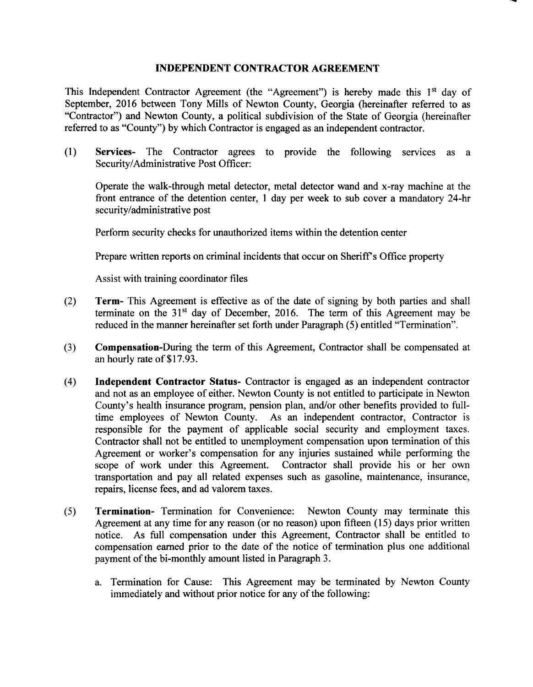## INDEPENDENT CONTRACTOR AGREEMENT

This Independent Contractor Agreement (the "Agreement") is hereby made this 1<sup>st</sup> day of September, 2016 between Tony Mills of Newton County, Georgia (hereinafter referred to as Contractor") and Newton County, a political subdivision of the State of Georgia ( hereinafter referred to as "County") by which Contractor is engaged as an independent contractor.

1) Services- The Contractor agrees to provide the following services as <sup>a</sup> Security/Administrative Post Officer:

Operate the walk-through metal detector, metal detector wand and x-ray machine at the front entrance of the detention center, 1 day per week to sub cover <sup>a</sup> mandatory 24-hr security/administrative post

Perform security checks for unauthorized items within the detention center

Prepare written reports on criminal incidents that occur on Sheriff's Office property

Assist with training coordinator files

- 2) Term- This Agreement is effective as of the date of signing by both parties and shall terminate on the  $31<sup>st</sup>$  day of December, 2016. The term of this Agreement may be reduced in the manner hereinafter set forth under Paragraph (5) entitled "Termination".
- 3) Compensation-During the term of this Agreement, Contractor shall be compensated at an hourly rate of \$17.93.
- 4) Independent Contractor Status- Contractor is engaged as an independent contractor and not as an employee of either. Newton County is not entitled to participate in Newton County's health insurance program, pension plan, and/or other benefits provided to fulltime employees of Newton County. As an independent contractor, Contractor is responsible for the payment of applicable social security and employment taxes. Contractor shall not be entitled to unemployment compensation upon termination of this Agreement or worker's compensation for any injuries sustained while performing the scope of work under this Agreement. Contractor shall provide his or her own transportation and pay all related expenses such as gasoline, maintenance, insurance, repairs, license fees, and ad valorem taxes.
- 5) Termination- Termination for Convenience: Newton County may terminate this Agreement at any time for any reason (or no reason) upon fifteen (15) days prior written notice. As full compensation under this Agreement, Contractor shall be entitled to compensation earned prior to the date of the notice of termination plus one additional payment of the bi-monthly amount listed in Paragraph 3.
	- a. Termination for Cause: This Agreement may be terminated by Newton County immediately and without prior notice for any of the following: